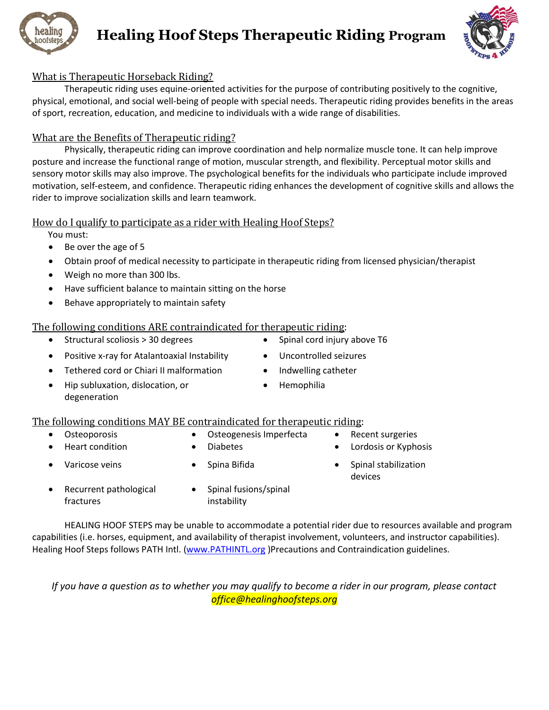

# **Healing Hoof Steps Therapeutic Riding Program**



## What is Therapeutic Horseback Riding?

Therapeutic riding uses equine-oriented activities for the purpose of contributing positively to the cognitive, physical, emotional, and social well-being of people with special needs. Therapeutic riding provides benefits in the areas of sport, recreation, education, and medicine to individuals with a wide range of disabilities.

## What are the Benefits of Therapeutic riding?

Physically, therapeutic riding can improve coordination and help normalize muscle tone. It can help improve posture and increase the functional range of motion, muscular strength, and flexibility. Perceptual motor skills and sensory motor skills may also improve. The psychological benefits for the individuals who participate include improved motivation, self-esteem, and confidence. Therapeutic riding enhances the development of cognitive skills and allows the rider to improve socialization skills and learn teamwork.

### How do I qualify to participate as a rider with Healing Hoof Steps?

You must:

- Be over the age of 5
- Obtain proof of medical necessity to participate in therapeutic riding from licensed physician/therapist
- Weigh no more than 300 lbs.
- Have sufficient balance to maintain sitting on the horse
- Behave appropriately to maintain safety

### The following conditions ARE contraindicated for therapeutic riding:

- Structural scoliosis > 30 degrees Spinal cord injury above T6
- Positive x-ray for Atalantoaxial Instability Uncontrolled seizures
- Tethered cord or Chiari II malformation Indwelling catheter
- Hip subluxation, dislocation, or degeneration
- 
- 
- 
- Hemophilia

### The following conditions MAY BE contraindicated for therapeutic riding:

- - Osteoporosis Osteogenesis Imperfecta Recent surgeries
- Heart condition Diabetes Lordosis or Kyphosis
- 
- 
- 
- Varicose veins Spina Bifida Spinal stabilization devices
- Recurrent pathological fractures
- Spinal fusions/spinal instability

HEALING HOOF STEPS may be unable to accommodate a potential rider due to resources available and program capabilities (i.e. horses, equipment, and availability of therapist involvement, volunteers, and instructor capabilities). Healing Hoof Steps follows PATH Intl. [\(www.PATHINTL.org](http://www.pathintl.org/) )Precautions and Contraindication guidelines.

*If you have a question as to whether you may qualify to become a rider in our program, please contact office@healinghoofsteps.org*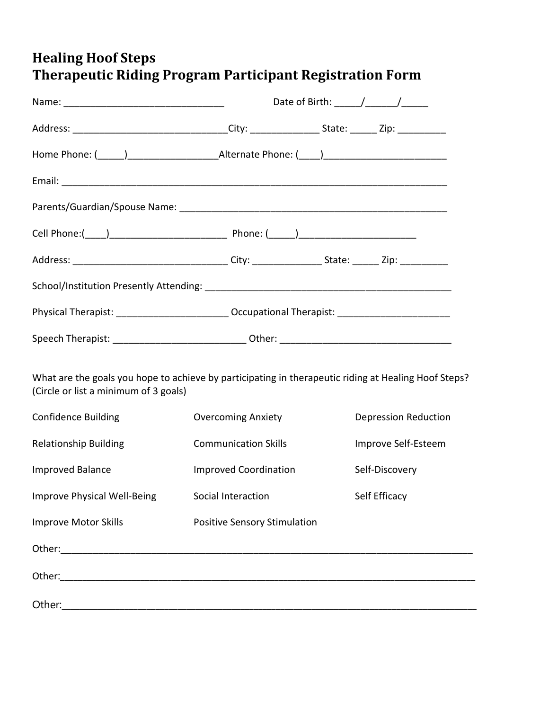# **Healing Hoof Steps Therapeutic Riding Program Participant Registration Form**

|                                                                                                                                               | Date of Birth: $\frac{\sqrt{2}}{2}$ |                             |  |  |
|-----------------------------------------------------------------------------------------------------------------------------------------------|-------------------------------------|-----------------------------|--|--|
| Address: _________________________________City: ________________________________Zip: _______________                                          |                                     |                             |  |  |
|                                                                                                                                               |                                     |                             |  |  |
|                                                                                                                                               |                                     |                             |  |  |
|                                                                                                                                               |                                     |                             |  |  |
|                                                                                                                                               |                                     |                             |  |  |
| Address: __________________________________City: ________________________________Zip: ______________                                          |                                     |                             |  |  |
|                                                                                                                                               |                                     |                             |  |  |
| Physical Therapist: _______________________________ Occupational Therapist: ________________________                                          |                                     |                             |  |  |
|                                                                                                                                               |                                     |                             |  |  |
| What are the goals you hope to achieve by participating in therapeutic riding at Healing Hoof Steps?<br>(Circle or list a minimum of 3 goals) |                                     |                             |  |  |
| <b>Confidence Building</b>                                                                                                                    | <b>Overcoming Anxiety</b>           | <b>Depression Reduction</b> |  |  |
| <b>Relationship Building</b>                                                                                                                  | <b>Communication Skills</b>         | Improve Self-Esteem         |  |  |
| <b>Improved Balance</b>                                                                                                                       | <b>Improved Coordination</b>        | Self-Discovery              |  |  |
| Improve Physical Well-Being Social Interaction                                                                                                |                                     | Self Efficacy               |  |  |
| <b>Improve Motor Skills</b>                                                                                                                   | <b>Positive Sensory Stimulation</b> |                             |  |  |
|                                                                                                                                               |                                     |                             |  |  |
|                                                                                                                                               |                                     |                             |  |  |
|                                                                                                                                               |                                     |                             |  |  |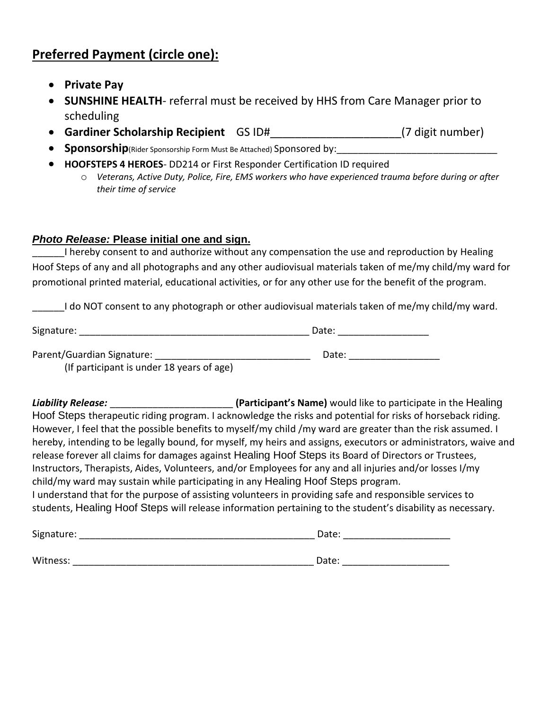# **Preferred Payment (circle one):**

- **Private Pay**
- **SUNSHINE HEALTH** referral must be received by HHS from Care Manager prior to scheduling
- **Gardiner Scholarship Recipient** GS ID#\_\_\_\_\_\_\_\_\_\_\_\_\_\_\_\_\_\_\_\_\_(7 digit number)
- **Sponsorship**(Rider Sponsorship Form Must Be Attached) Sponsored by:
- **HOOFSTEPS 4 HEROES** DD214 or First Responder Certification ID required
	- o *Veterans, Active Duty, Police, Fire, EMS workers who have experienced trauma before during or after their time of service*

## *Photo Release:* **Please initial one and sign.**

I hereby consent to and authorize without any compensation the use and reproduction by Healing Hoof Steps of any and all photographs and any other audiovisual materials taken of me/my child/my ward for promotional printed material, educational activities, or for any other use for the benefit of the program.

\_\_\_\_\_\_I do NOT consent to any photograph or other audiovisual materials taken of me/my child/my ward.

| Signature:                 | Date: |
|----------------------------|-------|
|                            |       |
| Parent/Guardian Signature: | Date: |

(If participant is under 18 years of age)

**Liability Release: Liability Release: The Contract of Participant's Name)** would like to participate in the Healing Hoof Steps therapeutic riding program. I acknowledge the risks and potential for risks of horseback riding. However, I feel that the possible benefits to myself/my child /my ward are greater than the risk assumed. I hereby, intending to be legally bound, for myself, my heirs and assigns, executors or administrators, waive and release forever all claims for damages against Healing Hoof Steps its Board of Directors or Trustees, Instructors, Therapists, Aides, Volunteers, and/or Employees for any and all injuries and/or losses I/my child/my ward may sustain while participating in any Healing Hoof Steps program. I understand that for the purpose of assisting volunteers in providing safe and responsible services to students, Healing Hoof Steps will release information pertaining to the student's disability as necessary.

| Signature: | Date: |
|------------|-------|
|            |       |
| Witness:   | Date: |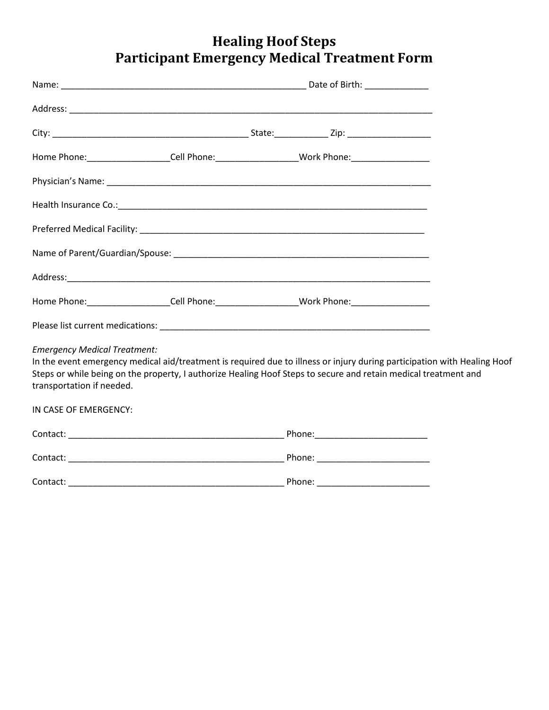# **Healing Hoof Steps Participant Emergency Medical Treatment Form**

|                                     | Home Phone: ____________________Cell Phone: ____________________Work Phone: _______________________                                                                                                                                         |  |
|-------------------------------------|---------------------------------------------------------------------------------------------------------------------------------------------------------------------------------------------------------------------------------------------|--|
|                                     |                                                                                                                                                                                                                                             |  |
|                                     |                                                                                                                                                                                                                                             |  |
|                                     |                                                                                                                                                                                                                                             |  |
|                                     |                                                                                                                                                                                                                                             |  |
|                                     |                                                                                                                                                                                                                                             |  |
|                                     | Home Phone:______________________Cell Phone:____________________Work Phone:________________________                                                                                                                                         |  |
|                                     |                                                                                                                                                                                                                                             |  |
| <b>Emergency Medical Treatment:</b> |                                                                                                                                                                                                                                             |  |
| transportation if needed.           | In the event emergency medical aid/treatment is required due to illness or injury during participation with Healing Hoof<br>Steps or while being on the property, I authorize Healing Hoof Steps to secure and retain medical treatment and |  |
| IN CASE OF EMERGENCY:               |                                                                                                                                                                                                                                             |  |
|                                     |                                                                                                                                                                                                                                             |  |
|                                     |                                                                                                                                                                                                                                             |  |
| Contact:                            |                                                                                                                                                                                                                                             |  |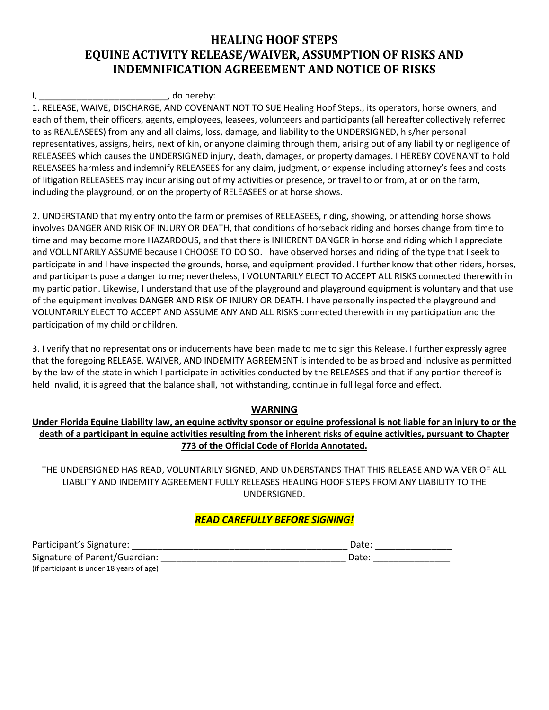# **HEALING HOOF STEPS EQUINE ACTIVITY RELEASE/WAIVER, ASSUMPTION OF RISKS AND INDEMNIFICATION AGREEEMENT AND NOTICE OF RISKS**

#### , do hereby:

1. RELEASE, WAIVE, DISCHARGE, AND COVENANT NOT TO SUE Healing Hoof Steps., its operators, horse owners, and each of them, their officers, agents, employees, leasees, volunteers and participants (all hereafter collectively referred to as REALEASEES) from any and all claims, loss, damage, and liability to the UNDERSIGNED, his/her personal representatives, assigns, heirs, next of kin, or anyone claiming through them, arising out of any liability or negligence of RELEASEES which causes the UNDERSIGNED injury, death, damages, or property damages. I HEREBY COVENANT to hold RELEASEES harmless and indemnify RELEASEES for any claim, judgment, or expense including attorney's fees and costs of litigation RELEASEES may incur arising out of my activities or presence, or travel to or from, at or on the farm, including the playground, or on the property of RELEASEES or at horse shows.

2. UNDERSTAND that my entry onto the farm or premises of RELEASEES, riding, showing, or attending horse shows involves DANGER AND RISK OF INJURY OR DEATH, that conditions of horseback riding and horses change from time to time and may become more HAZARDOUS, and that there is INHERENT DANGER in horse and riding which I appreciate and VOLUNTARILY ASSUME because I CHOOSE TO DO SO. I have observed horses and riding of the type that I seek to participate in and I have inspected the grounds, horse, and equipment provided. I further know that other riders, horses, and participants pose a danger to me; nevertheless, I VOLUNTARILY ELECT TO ACCEPT ALL RISKS connected therewith in my participation. Likewise, I understand that use of the playground and playground equipment is voluntary and that use of the equipment involves DANGER AND RISK OF INJURY OR DEATH. I have personally inspected the playground and VOLUNTARILY ELECT TO ACCEPT AND ASSUME ANY AND ALL RISKS connected therewith in my participation and the participation of my child or children.

3. I verify that no representations or inducements have been made to me to sign this Release. I further expressly agree that the foregoing RELEASE, WAIVER, AND INDEMITY AGREEMENT is intended to be as broad and inclusive as permitted by the law of the state in which I participate in activities conducted by the RELEASES and that if any portion thereof is held invalid, it is agreed that the balance shall, not withstanding, continue in full legal force and effect.

### **WARNING**

**Under Florida Equine Liability law, an equine activity sponsor or equine professional is not liable for an injury to or the death of a participant in equine activities resulting from the inherent risks of equine activities, pursuant to Chapter 773 of the Official Code of Florida Annotated.**

THE UNDERSIGNED HAS READ, VOLUNTARILY SIGNED, AND UNDERSTANDS THAT THIS RELEASE AND WAIVER OF ALL LIABLITY AND INDEMITY AGREEMENT FULLY RELEASES HEALING HOOF STEPS FROM ANY LIABILITY TO THE UNDERSIGNED.

### *READ CAREFULLY BEFORE SIGNING!*

| Participant's Signature:                  | Date: |
|-------------------------------------------|-------|
| Signature of Parent/Guardian:             | Date: |
| (if participant is under 18 years of age) |       |